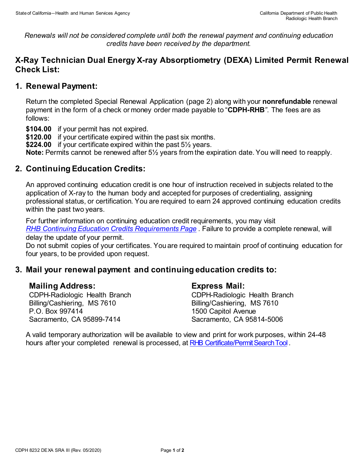*Renewals will not be considered complete until both the renewal payment and continuing education credits have been received by the department.*

# **X-Ray Technician Dual Energy X-ray Absorptiometry (DEXA) Limited Permit Renewal Check List:**

# **1. Renewal Payment:**

Return the completed Special Renewal Application (page 2) along with your **nonrefundable** renewal payment in the form of a check or money order made payable to "**CDPH-RHB***"*. The fees are as follows:

**\$104.00** if your permit has not expired.

**\$120.00** if your certificate expired within the past six months.

**\$224.00** if your certificate expired within the past 5½ years.

**Note:** Permits cannot be renewed after 5½ years from the expiration date. You will need to reapply.

# **2. Continuing Education Credits:**

An approved continuing education credit is one hour of instruction received in subjects related to the application of X-ray to the human body and accepted for purposes of credentialing, assigning professional status, or certification. You are required to earn 24 approved continuing education credits within the past two years.

For further information on continuing education credit requirements, you may visit *[RHB Continuing Education Credits Requirements Page](https://www.cdph.ca.gov/Programs/CEH/DRSEM/CDPH%20Document%20Library/RHB/Certification/RHB-CEC-Renewal.pdf)* . Failure to provide a complete renewal, will delay the update of your permit.

Do not submit copies of your certificates. You are required to maintain proof of continuing education for four years, to be provided upon request.

### **3. Mail your renewal payment and continuing education credits to:**

### **Mailing Address:**

CDPH-Radiologic Health Branch Billing/Cashiering, MS 7610 P.O. Box 997414 Sacramento, CA 95899-7414

### **Express Mail:**

CDPH-Radiologic Health Branch Billing/Cashiering, MS 7610 1500 Capitol Avenue Sacramento, CA 95814-5006

A valid temporary authorization will be available to view and print for work purposes, within 24-48 hours after your completed renewal is processed, at [RHB Certificate/Permit Search Tool](http://rhbxray.cdph.ca.gov/).